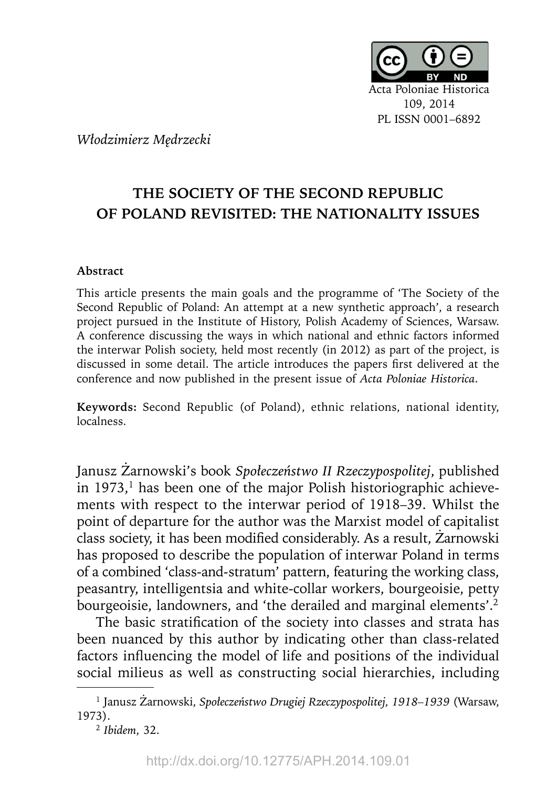

*Włodzimierz Mędrzecki*

## **THE SOCIETY OF THE SECOND REPUBLIC OF POLAND REVISITED: THE NATIONALITY ISSUES**

## **Abstract**

This article presents the main goals and the programme of 'The Society of the Second Republic of Poland: An attempt at a new synthetic approach', a research project pursued in the Institute of History, Polish Academy of Sciences, Warsaw. A conference discussing the ways in which national and ethnic factors informed the interwar Polish society, held most recently (in 2012) as part of the project, is discussed in some detail. The article introduces the papers first delivered at the conference and now published in the present issue of *Acta Poloniae Historica*.

**Keywords:** Second Republic (of Poland), ethnic relations, national identity, localness.

Janusz Żarnowski's book *Społeczeństwo II Rzeczypospolitej*, published in  $1973$ ,<sup>1</sup> has been one of the major Polish historiographic achievements with respect to the interwar period of 1918–39. Whilst the point of departure for the author was the Marxist model of capitalist class society, it has been modified considerably. As a result, Żarnowski has proposed to describe the population of interwar Poland in terms of a combined 'class-and-stratum' pattern, featuring the working class, peasantry, intelligentsia and white-collar workers, bourgeoisie, petty bourgeoisie, landowners, and 'the derailed and marginal elements'.<sup>2</sup>

The basic stratification of the society into classes and strata has been nuanced by this author by indicating other than class-related factors influencing the model of life and positions of the individual social milieus as well as constructing social hierarchies, including

<sup>1</sup> Janusz Żarnowski, *Społeczeństwo Drugiej Rzeczypospolitej, 1918–1939* (Warsaw, 1973).

<sup>2</sup>*Ibidem*, 32.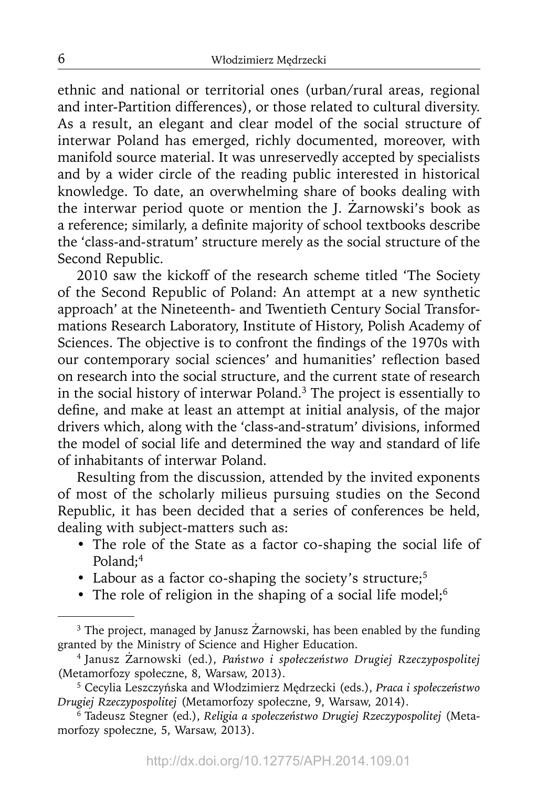ethnic and national or territorial ones (urban/rural areas, regional and inter-Partition differences), or those related to cultural diversity. As a result, an elegant and clear model of the social structure of interwar Poland has emerged, richly documented, moreover, with manifold source material. It was unreservedly accepted by specialists and by a wider circle of the reading public interested in historical knowledge. To date, an overwhelming share of books dealing with the interwar period quote or mention the J. Żarnowski's book as a reference; similarly, a definite majority of school textbooks describe the 'class-and-stratum' structure merely as the social structure of the Second Republic.

2010 saw the kickoff of the research scheme titled 'The Society of the Second Republic of Poland: An attempt at a new synthetic approach' at the Nineteenth- and Twentieth Century Social Transformations Research Laboratory, Institute of History, Polish Academy of Sciences. The objective is to confront the findings of the 1970s with our contemporary social sciences' and humanities' reflection based on research into the social structure, and the current state of research in the social history of interwar Poland.3 The project is essentially to define, and make at least an attempt at initial analysis, of the major drivers which, along with the 'class-and-stratum' divisions, informed the model of social life and determined the way and standard of life of inhabitants of interwar Poland.

Resulting from the discussion, attended by the invited exponents of most of the scholarly milieus pursuing studies on the Second Republic, it has been decided that a series of conferences be held, dealing with subject-matters such as:

- The role of the State as a factor co-shaping the social life of Poland;<sup>4</sup>
- Labour as a factor co-shaping the society's structure;<sup>5</sup>
- The role of religion in the shaping of a social life model;<sup>6</sup>

<sup>&</sup>lt;sup>3</sup> The project, managed by Janusz Żarnowski, has been enabled by the funding granted by the Ministry of Science and Higher Education.

<sup>4</sup> Janusz Żarnowski (ed.), *Państwo i społeczeństwo Drugiej Rzeczypospolitej*  (Metamorfozy społeczne, 8, Warsaw, 2013).

<sup>5</sup> Cecylia Leszczyńska and Włodzimierz Mędrzecki (eds.), *Praca i społeczeństwo Drugiej Rzeczypospolitej* (Metamorfozy społeczne, 9, Warsaw, 2014).

<sup>6</sup> Tadeusz Stegner (ed.), *Religia a społeczeństwo Drugiej Rzeczypospolitej* (Metamorfozy społeczne, 5, Warsaw, 2013).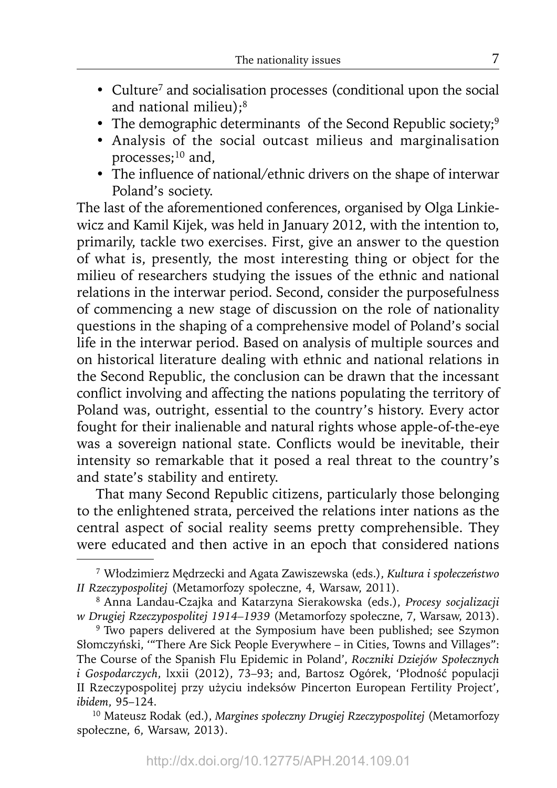- Culture<sup>7</sup> and socialisation processes (conditional upon the social and national milieu);8
- The demographic determinants of the Second Republic society;<sup>9</sup>
- Analysis of the social outcast milieus and marginalisation processes;<sup>10</sup> and,
- The influence of national/ethnic drivers on the shape of interwar Poland's society.

The last of the aforementioned conferences, organised by Olga Linkiewicz and Kamil Kijek, was held in January 2012, with the intention to, primarily, tackle two exercises. First, give an answer to the question of what is, presently, the most interesting thing or object for the milieu of researchers studying the issues of the ethnic and national relations in the interwar period. Second, consider the purposefulness of commencing a new stage of discussion on the role of nationality questions in the shaping of a comprehensive model of Poland's social life in the interwar period. Based on analysis of multiple sources and on historical literature dealing with ethnic and national relations in the Second Republic, the conclusion can be drawn that the incessant conflict involving and affecting the nations populating the territory of Poland was, outright, essential to the country's history. Every actor fought for their inalienable and natural rights whose apple-of-the-eye was a sovereign national state. Conflicts would be inevitable, their intensity so remarkable that it posed a real threat to the country's and state's stability and entirety.

That many Second Republic citizens, particularly those belonging to the enlightened strata, perceived the relations inter nations as the central aspect of social reality seems pretty comprehensible. They were educated and then active in an epoch that considered nations

<sup>7</sup> Włodzimierz Mędrzecki and Agata Zawiszewska (eds.), *Kultura i społeczeństwo II Rzeczypospolitej* (Metamorfozy społeczne, 4, Warsaw, 2011).

<sup>8</sup> Anna Landau-Czajka and Katarzyna Sierakowska (eds.), *Procesy socjalizacji w Drugiej Rzeczypospolitej 1914–1939* (Metamorfozy społeczne, 7, Warsaw, 2013).

<sup>&</sup>lt;sup>9</sup> Two papers delivered at the Symposium have been published; see Szymon Słomczyński, '"There Are Sick People Everywhere – in Cities, Towns and Villages": The Course of the Spanish Flu Epidemic in Poland', *Roczniki Dziejów Społecznych i Gospodarczych*, lxxii (2012), 73–93; and, Bartosz Ogórek, 'Płodność populacji II Rzeczypospolitej przy użyciu indeksów Pincerton European Fertility Project', *ibidem*, 95–124.

<sup>10</sup> Mateusz Rodak (ed.), *Margines społeczny Drugiej Rzeczypospolitej* (Metamorfozy społeczne, 6, Warsaw, 2013).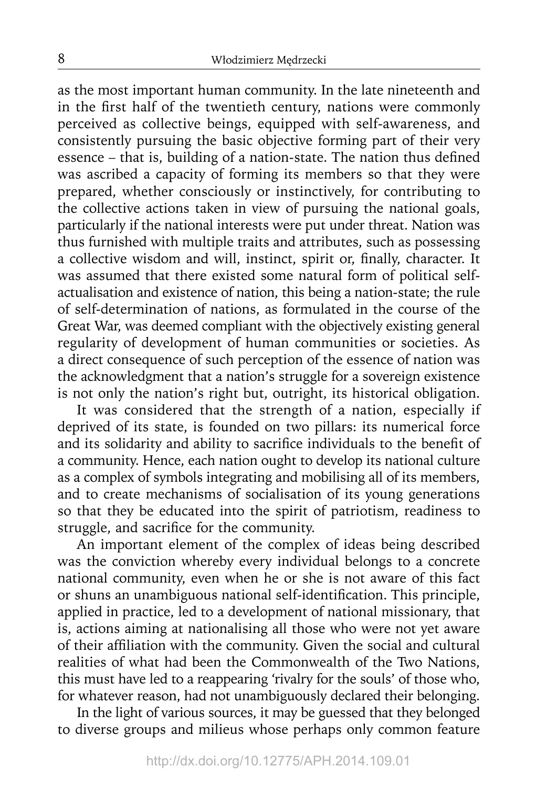as the most important human community. In the late nineteenth and in the first half of the twentieth century, nations were commonly perceived as collective beings, equipped with self-awareness, and consistently pursuing the basic objective forming part of their very essence - that is, building of a nation-state. The nation thus defined was ascribed a capacity of forming its members so that they were prepared, whether consciously or instinctively, for contributing to the collective actions taken in view of pursuing the national goals, particularly if the national interests were put under threat. Nation was thus furnished with multiple traits and attributes, such as possessing a collective wisdom and will, instinct, spirit or, finally, character. It was assumed that there existed some natural form of political selfactualisation and existence of nation, this being a nation-state; the rule of self-determination of nations, as formulated in the course of the Great War, was deemed compliant with the objectively existing general regularity of development of human communities or societies. As a direct consequence of such perception of the essence of nation was the acknowledgment that a nation's struggle for a sovereign existence is not only the nation's right but, outright, its historical obligation.

It was considered that the strength of a nation, especially if deprived of its state, is founded on two pillars: its numerical force and its solidarity and ability to sacrifice individuals to the benefit of a community. Hence, each nation ought to develop its national culture as a complex of symbols integrating and mobilising all of its members, and to create mechanisms of socialisation of its young generations so that they be educated into the spirit of patriotism, readiness to struggle, and sacrifice for the community.

An important element of the complex of ideas being described was the conviction whereby every individual belongs to a concrete national community, even when he or she is not aware of this fact or shuns an unambiguous national self-identification. This principle, applied in practice, led to a development of national missionary, that is, actions aiming at nationalising all those who were not yet aware of their affiliation with the community. Given the social and cultural realities of what had been the Commonwealth of the Two Nations, this must have led to a reappearing 'rivalry for the souls' of those who, for whatever reason, had not unambiguously declared their belonging.

In the light of various sources, it may be guessed that they belonged to diverse groups and milieus whose perhaps only common feature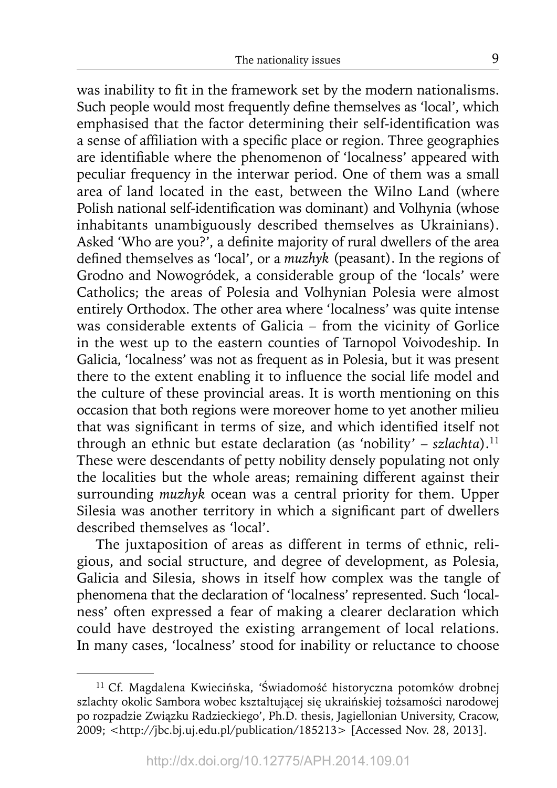was inability to fit in the framework set by the modern nationalisms. Such people would most frequently define themselves as 'local', which emphasised that the factor determining their self-identification was a sense of affiliation with a specific place or region. Three geographies are identifiable where the phenomenon of 'localness' appeared with peculiar frequency in the interwar period. One of them was a small area of land located in the east, between the Wilno Land (where Polish national self-identification was dominant) and Volhynia (whose inhabitants unambiguously described themselves as Ukrainians). Asked 'Who are you?', a definite majority of rural dwellers of the area defined themselves as 'local', or a *muzhyk* (peasant). In the regions of Grodno and Nowogródek, a considerable group of the 'locals' were Catholics; the areas of Polesia and Volhynian Polesia were almost entirely Orthodox. The other area where 'localness' was quite intense was considerable extents of Galicia – from the vicinity of Gorlice in the west up to the eastern counties of Tarnopol Voivodeship. In Galicia, 'localness' was not as frequent as in Polesia, but it was present there to the extent enabling it to influence the social life model and the culture of these provincial areas. It is worth mentioning on this occasion that both regions were moreover home to yet another milieu that was significant in terms of size, and which identified itself not through an ethnic but estate declaration (as 'nobility' – *szlachta*).11 These were descendants of petty nobility densely populating not only the localities but the whole areas; remaining different against their surrounding *muzhyk* ocean was a central priority for them. Upper Silesia was another territory in which a significant part of dwellers described themselves as 'local'.

The juxtaposition of areas as different in terms of ethnic, religious, and social structure, and degree of development, as Polesia, Galicia and Silesia, shows in itself how complex was the tangle of phenomena that the declaration of 'localness' represented. Such 'localness' often expressed a fear of making a clearer declaration which could have destroyed the existing arrangement of local relations. In many cases, 'localness' stood for inability or reluctance to choose

<sup>11</sup> Cf. Magdalena Kwiecińska, 'Świadomość historyczna potomków drobnej szlachty okolic Sambora wobec kształtującej się ukraińskiej tożsamości narodowej po rozpadzie Związku Radzieckiego', Ph.D. thesis, Jagiellonian University, Cracow, 2009; <http://jbc.bj.uj.edu.pl/publication/185213> [Accessed Nov. 28, 2013].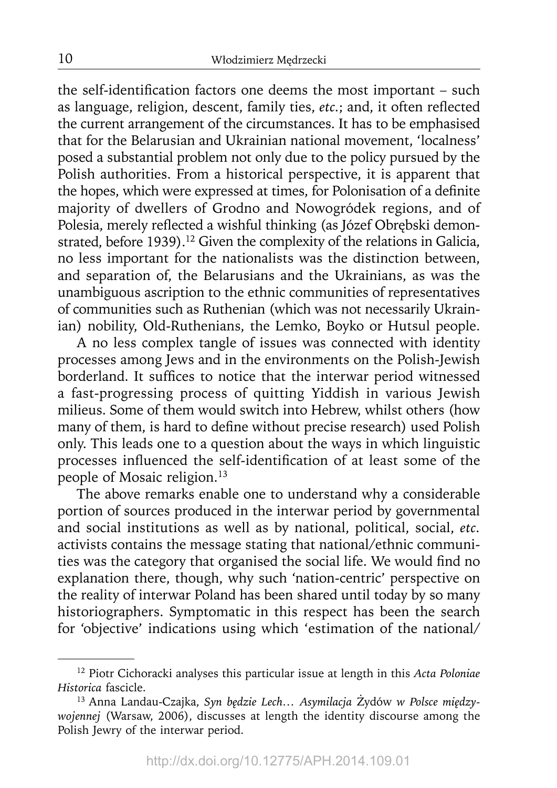the self-identification factors one deems the most important - such as language, religion, descent, family ties, etc.; and, it often reflected the current arrangement of the circumstances. It has to be emphasised that for the Belarusian and Ukrainian national movement, 'localness' posed a substantial problem not only due to the policy pursued by the Polish authorities. From a historical perspective, it is apparent that the hopes, which were expressed at times, for Polonisation of a definite majority of dwellers of Grodno and Nowogródek regions, and of Polesia, merely reflected a wishful thinking (as Józef Obrębski demonstrated, before 1939).<sup>12</sup> Given the complexity of the relations in Galicia, no less important for the nationalists was the distinction between, and separation of, the Belarusians and the Ukrainians, as was the unambiguous ascription to the ethnic communities of representatives of communities such as Ruthenian (which was not necessarily Ukrainian) nobility, Old-Ruthenians, the Lemko, Boyko or Hutsul people.

A no less complex tangle of issues was connected with identity processes among Jews and in the environments on the Polish-Jewish borderland. It suffices to notice that the interwar period witnessed a fast-progressing process of quitting Yiddish in various Jewish milieus. Some of them would switch into Hebrew, whilst others (how many of them, is hard to define without precise research) used Polish only. This leads one to a question about the ways in which linguistic processes influenced the self-identification of at least some of the people of Mosaic religion.<sup>13</sup>

The above remarks enable one to understand why a considerable portion of sources produced in the interwar period by governmental and social institutions as well as by national, political, social, *etc.* activists contains the message stating that national/ethnic communities was the category that organised the social life. We would find no explanation there, though, why such 'nation-centric' perspective on the reality of interwar Poland has been shared until today by so many historiographers. Symptomatic in this respect has been the search for 'objective' indications using which 'estimation of the national/

<sup>12</sup> Piotr Cichoracki analyses this particular issue at length in this *Acta Poloniae Historica* fascicle.

<sup>13</sup> Anna Landau-Czajka, *Syn będzie Lech… Asymilacja* Żydów *w Polsce międzywojennej* (Warsaw, 2006), discusses at length the identity discourse among the Polish Jewry of the interwar period.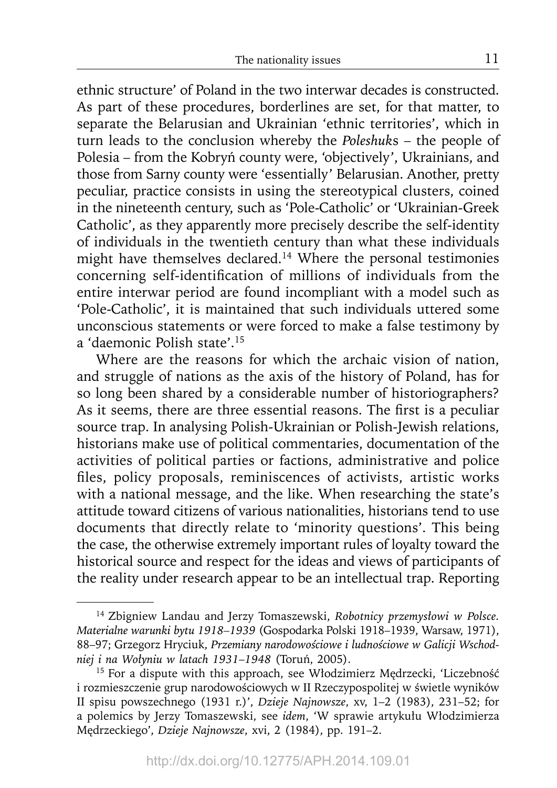ethnic structure' of Poland in the two interwar decades is constructed. As part of these procedures, borderlines are set, for that matter, to separate the Belarusian and Ukrainian 'ethnic territories', which in turn leads to the conclusion whereby the *Poleshuk*s – the people of Polesia – from the Kobryń county were, 'objectively', Ukrainians, and those from Sarny county were 'essentially' Belarusian. Another, pretty peculiar, practice consists in using the stereotypical clusters, coined in the nineteenth century, such as 'Pole-Catholic' or 'Ukrainian-Greek Catholic', as they apparently more precisely describe the self-identity of individuals in the twentieth century than what these individuals might have themselves declared.14 Where the personal testimonies concerning self-identification of millions of individuals from the entire interwar period are found incompliant with a model such as 'Pole-Catholic', it is maintained that such individuals uttered some unconscious statements or were forced to make a false testimony by a 'daemonic Polish state'.15

Where are the reasons for which the archaic vision of nation, and struggle of nations as the axis of the history of Poland, has for so long been shared by a considerable number of historiographers? As it seems, there are three essential reasons. The first is a peculiar source trap. In analysing Polish-Ukrainian or Polish-Jewish relations, historians make use of political commentaries, documentation of the activities of political parties or factions, administrative and police files, policy proposals, reminiscences of activists, artistic works with a national message, and the like. When researching the state's attitude toward citizens of various nationalities, historians tend to use documents that directly relate to 'minority questions'. This being the case, the otherwise extremely important rules of loyalty toward the historical source and respect for the ideas and views of participants of the reality under research appear to be an intellectual trap. Reporting

<sup>14</sup> Zbigniew Landau and Jerzy Tomaszewski, *Robotnicy przemysłowi w Polsce. Materialne warunki bytu 1918–1939* (Gospodarka Polski 1918–1939, Warsaw, 1971), 88–97; Grzegorz Hryciuk, *Przemiany narodowościowe i ludnościowe w Galicji Wschodniej i na Wołyniu w latach 1931*–*1948* (Toruń, 2005).

<sup>&</sup>lt;sup>15</sup> For a dispute with this approach, see Włodzimierz Medrzecki, 'Liczebność i rozmieszczenie grup narodowościowych w II Rzeczypospolitej w świetle wyników II spisu powszechnego (1931 r.)', *Dzieje Najnowsze*, xv, 1–2 (1983), 231–52; for a polemics by Jerzy Tomaszewski, see *idem*, 'W sprawie artykułu Włodzimierza Mędrzeckiego', *Dzieje Najnowsze*, xvi, 2 (1984), pp. 191–2.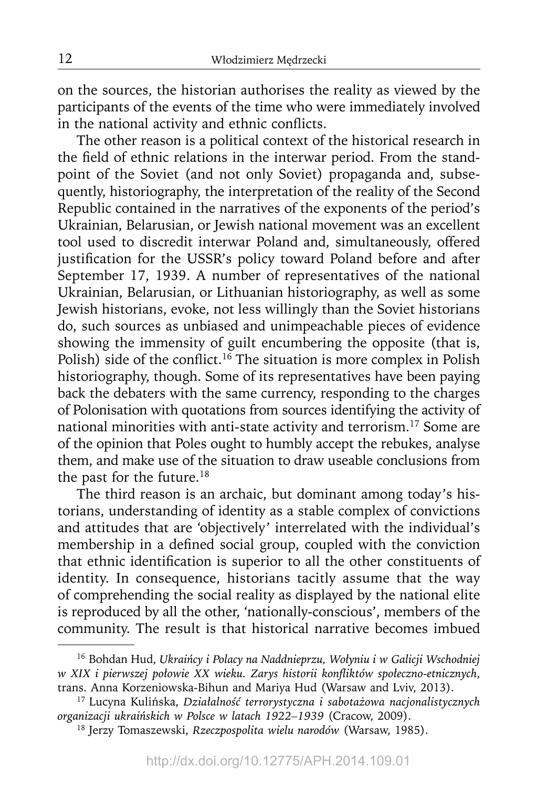on the sources, the historian authorises the reality as viewed by the participants of the events of the time who were immediately involved in the national activity and ethnic conflicts.

The other reason is a political context of the historical research in the field of ethnic relations in the interwar period. From the standpoint of the Soviet (and not only Soviet) propaganda and, subsequently, historiography, the interpretation of the reality of the Second Republic contained in the narratives of the exponents of the period's Ukrainian, Belarusian, or Jewish national movement was an excellent tool used to discredit interwar Poland and, simultaneously, offered justification for the USSR's policy toward Poland before and after September 17, 1939. A number of representatives of the national Ukrainian, Belarusian, or Lithuanian historiography, as well as some Jewish historians, evoke, not less willingly than the Soviet historians do, such sources as unbiased and unimpeachable pieces of evidence showing the immensity of guilt encumbering the opposite (that is, Polish) side of the conflict.<sup>16</sup> The situation is more complex in Polish historiography, though. Some of its representatives have been paying back the debaters with the same currency, responding to the charges of Polonisation with quotations from sources identifying the activity of national minorities with anti-state activity and terrorism.17 Some are of the opinion that Poles ought to humbly accept the rebukes, analyse them, and make use of the situation to draw useable conclusions from the past for the future.<sup>18</sup>

The third reason is an archaic, but dominant among today's historians, understanding of identity as a stable complex of convictions and attitudes that are 'objectively' interrelated with the individual's membership in a defined social group, coupled with the conviction that ethnic identification is superior to all the other constituents of identity. In consequence, historians tacitly assume that the way of comprehending the social reality as displayed by the national elite is reproduced by all the other, 'nationally-conscious', members of the community. The result is that historical narrative becomes imbued

<sup>16</sup> Bohdan Hud, *Ukraińcy i Polacy na Naddnieprzu, Wołyniu i w Galicji Wschodniej w XIX i pierwszej połowie XX wieku. Zarys historii konfl iktów społeczno-etnicznych*, trans. Anna Korzeniowska-Bihun and Mariya Hud (Warsaw and Lviv, 2013).

<sup>17</sup> Lucyna Kulińska, *Działalność terrorystyczna i sabotażowa nacjonalistycznych organizacji ukraińskich w Polsce w latach 1922–1939* (Cracow, 2009).

<sup>18</sup> Jerzy Tomaszewski, *Rzeczpospolita wielu narodów* (Warsaw, 1985).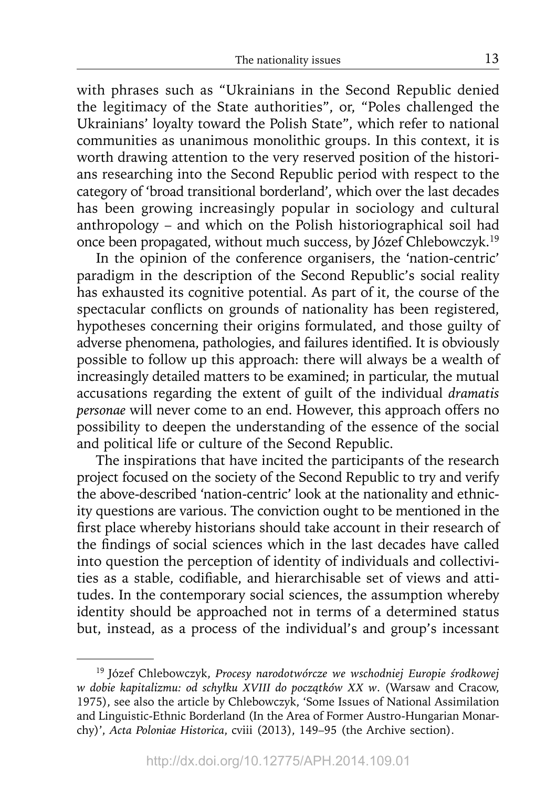with phrases such as "Ukrainians in the Second Republic denied the legitimacy of the State authorities", or, "Poles challenged the Ukrainians' loyalty toward the Polish State", which refer to national communities as unanimous monolithic groups. In this context, it is worth drawing attention to the very reserved position of the historians researching into the Second Republic period with respect to the category of 'broad transitional borderland', which over the last decades has been growing increasingly popular in sociology and cultural anthropology – and which on the Polish historiographical soil had once been propagated, without much success, by Józef Chlebowczyk.19

In the opinion of the conference organisers, the 'nation-centric' paradigm in the description of the Second Republic's social reality has exhausted its cognitive potential. As part of it, the course of the spectacular conflicts on grounds of nationality has been registered, hypotheses concerning their origins formulated, and those guilty of adverse phenomena, pathologies, and failures identified. It is obviously possible to follow up this approach: there will always be a wealth of increasingly detailed matters to be examined; in particular, the mutual accusations regarding the extent of guilt of the individual *dramatis personae* will never come to an end. However, this approach offers no possibility to deepen the understanding of the essence of the social and political life or culture of the Second Republic.

The inspirations that have incited the participants of the research project focused on the society of the Second Republic to try and verify the above-described 'nation-centric' look at the nationality and ethnicity questions are various. The conviction ought to be mentioned in the first place whereby historians should take account in their research of the findings of social sciences which in the last decades have called into question the perception of identity of individuals and collectivities as a stable, codifiable, and hierarchisable set of views and attitudes. In the contemporary social sciences, the assumption whereby identity should be approached not in terms of a determined status but, instead, as a process of the individual's and group's incessant

<sup>19</sup> Józef Chlebowczyk, *Procesy narodotwórcze we wschodniej Europie środkowej w dobie kapitalizmu: od schyłku XVIII do początków XX w*. (Warsaw and Cracow, 1975), see also the article by Chlebowczyk, 'Some Issues of National Assimilation and Linguistic-Ethnic Borderland (In the Area of Former Austro-Hungarian Monarchy)', *Acta Poloniae Historica*, cviii (2013), 149–95 (the Archive section).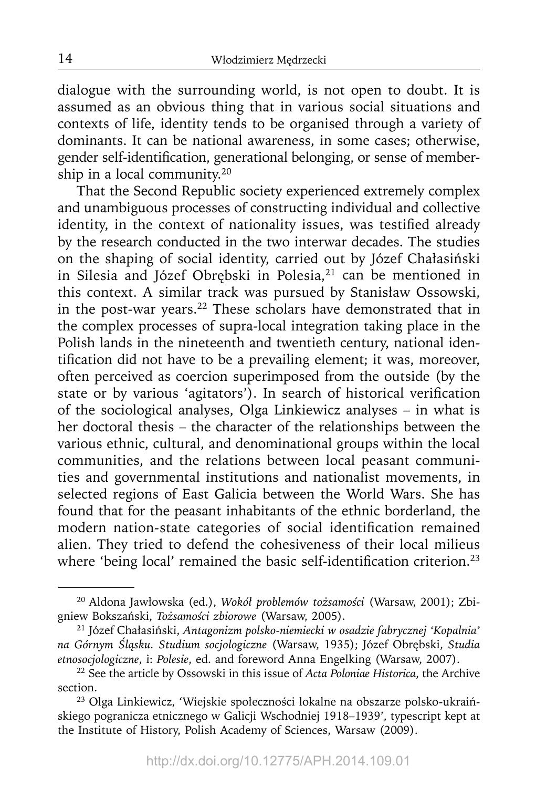dialogue with the surrounding world, is not open to doubt. It is assumed as an obvious thing that in various social situations and contexts of life, identity tends to be organised through a variety of dominants. It can be national awareness, in some cases; otherwise, gender self-identification, generational belonging, or sense of membership in a local community.20

That the Second Republic society experienced extremely complex and unambiguous processes of constructing individual and collective identity, in the context of nationality issues, was testified already by the research conducted in the two interwar decades. The studies on the shaping of social identity, carried out by Józef Chałasiński in Silesia and Józef Obrębski in Polesia,<sup>21</sup> can be mentioned in this context. A similar track was pursued by Stanisław Ossowski, in the post-war years.22 These scholars have demonstrated that in the complex processes of supra-local integration taking place in the Polish lands in the nineteenth and twentieth century, national identification did not have to be a prevailing element; it was, moreover, often perceived as coercion superimposed from the outside (by the state or by various 'agitators'). In search of historical verification of the sociological analyses, Olga Linkiewicz analyses – in what is her doctoral thesis – the character of the relationships between the various ethnic, cultural, and denominational groups within the local communities, and the relations between local peasant communities and governmental institutions and nationalist movements, in selected regions of East Galicia between the World Wars. She has found that for the peasant inhabitants of the ethnic borderland, the modern nation-state categories of social identification remained alien. They tried to defend the cohesiveness of their local milieus where 'being local' remained the basic self-identification criterion.<sup>23</sup>

14

<sup>20</sup> Aldona Jawłowska (ed.), *Wokół problemów tożsamości* (Warsaw, 2001); Zbigniew Bokszański, *Tożsamości zbiorowe* (Warsaw, 2005).

<sup>21</sup> Józef Chałasiński, *Antagonizm polsko-niemiecki w osadzie fabrycznej 'Kopalnia' na Górnym Śląsku. Studium socjologiczne* (Warsaw, 1935); Józef Obrębski, *Studia etnosocjologiczne*, i: *Polesie*, ed. and foreword Anna Engelking (Warsaw, 2007).

<sup>22</sup> See the article by Ossowski in this issue of *Acta Poloniae Historica*, the Archive section.

<sup>23</sup> Olga Linkiewicz, 'Wiejskie społeczności lokalne na obszarze polsko-ukraińskiego pogranicza etnicznego w Galicji Wschodniej 1918–1939', typescript kept at the Institute of History, Polish Academy of Sciences, Warsaw (2009).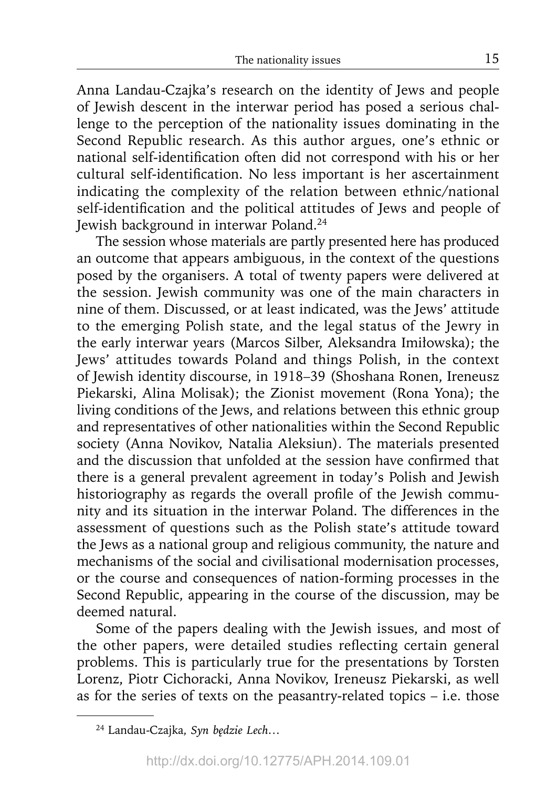Anna Landau-Czajka's research on the identity of Jews and people of Jewish descent in the interwar period has posed a serious challenge to the perception of the nationality issues dominating in the Second Republic research. As this author argues, one's ethnic or national self-identification often did not correspond with his or her cultural self-identification. No less important is her ascertainment indicating the complexity of the relation between ethnic/national self-identification and the political attitudes of Jews and people of Jewish background in interwar Poland.24

The session whose materials are partly presented here has produced an outcome that appears ambiguous, in the context of the questions posed by the organisers. A total of twenty papers were delivered at the session. Jewish community was one of the main characters in nine of them. Discussed, or at least indicated, was the Jews' attitude to the emerging Polish state, and the legal status of the Jewry in the early interwar years (Marcos Silber, Aleksandra Imiłowska); the Jews' attitudes towards Poland and things Polish, in the context of Jewish identity discourse, in 1918–39 (Shoshana Ronen, Ireneusz Piekarski, Alina Molisak); the Zionist movement (Rona Yona); the living conditions of the Jews, and relations between this ethnic group and representatives of other nationalities within the Second Republic society (Anna Novikov, Natalia Aleksiun). The materials presented and the discussion that unfolded at the session have confirmed that there is a general prevalent agreement in today's Polish and Jewish historiography as regards the overall profile of the Jewish community and its situation in the interwar Poland. The differences in the assessment of questions such as the Polish state's attitude toward the Jews as a national group and religious community, the nature and mechanisms of the social and civilisational modernisation processes, or the course and consequences of nation-forming processes in the Second Republic, appearing in the course of the discussion, may be deemed natural.

Some of the papers dealing with the Jewish issues, and most of the other papers, were detailed studies reflecting certain general problems. This is particularly true for the presentations by Torsten Lorenz, Piotr Cichoracki, Anna Novikov, Ireneusz Piekarski, as well as for the series of texts on the peasantry-related topics – i.e. those

<sup>24</sup> Landau-Czajka, *Syn będzie Lech…*